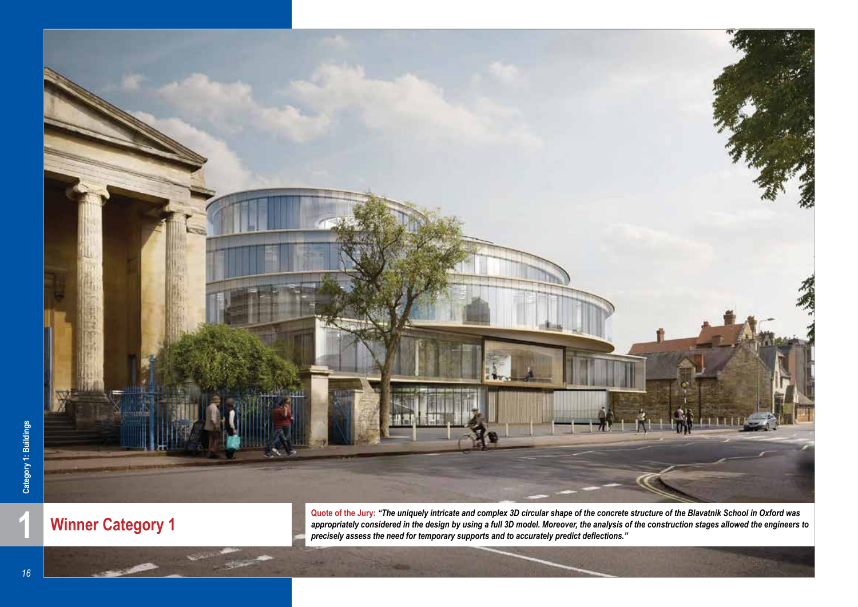

**PERSONAL** 

**Winner Category 1**

 $\mathbb{R}$ 

**1 Winner Category 1 Quote of the Jury:** "The uniquely intricate and complex 3D circular shape of the concrete structure of the Blavatnik School in Oxford was appropriately considered in the design by using a full 3D m *appropriately considered in the design by using a full 3D model. Moreover, the analysis of the construction stages allowed the engineers to precisely assess the need for temporary supports and to accurately predict deflections."*